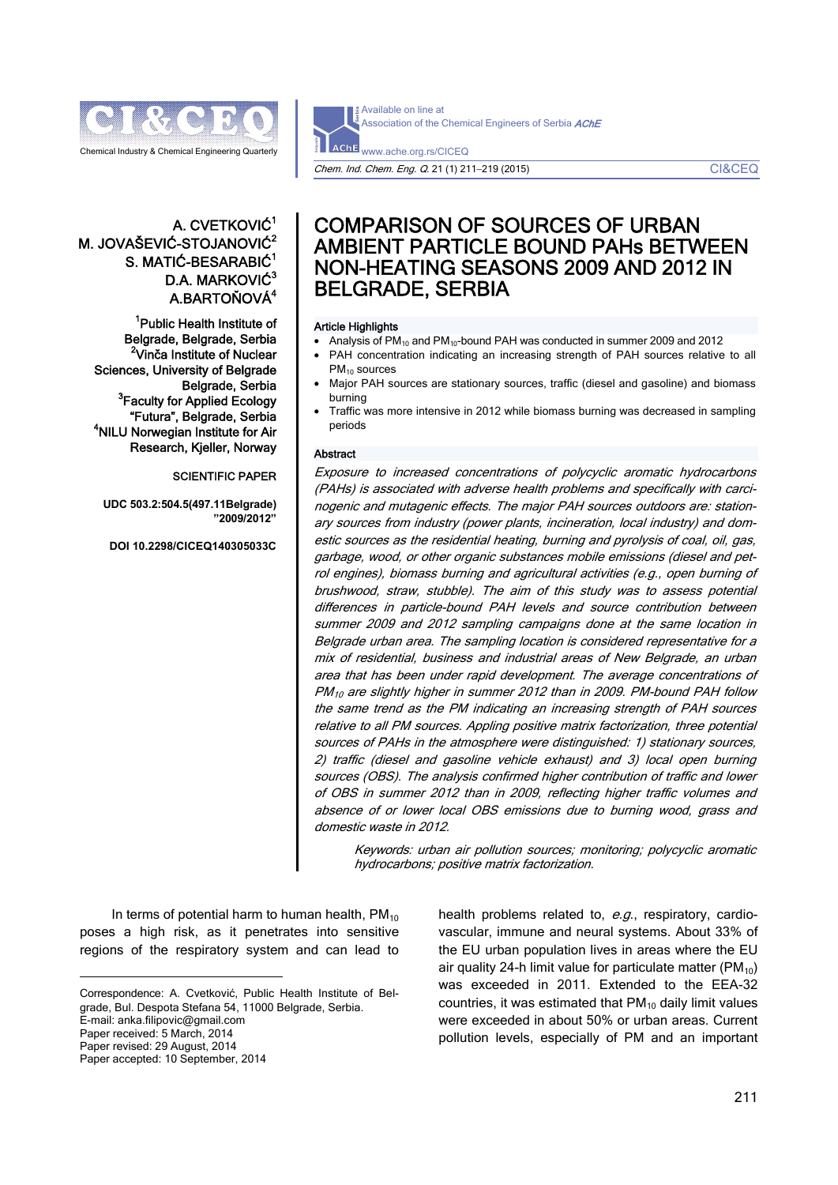

Available on line at Association of the Chemical Engineers of Serbia AChE **AChE** www.ache.org.rs/CICEQ

Chem. Ind. Chem. Eng. Q. 21 (1) 211−219 (2015) CI&CEQ

# A. CVETKOVIĆ<sup>1</sup> M. JOVAŠEVIĆ-STOJANOVIĆ<sup>2</sup> S. MATIĆ-BESARABIĆ<sup>1</sup> D.A. MARKOVIĆ<sup>3</sup> A.BARTOŇOVÁ<sup>4</sup>

<sup>1</sup>Public Health Institute of Belgrade, Belgrade, Serbia <sup>2</sup>Vinča Institute of Nuclear Sciences, University of Belgrade Belgrade, Serbia <sup>3</sup> Faculty for Applied Ecology "Futura", Belgrade, Serbia 4 <sup>4</sup>NILU Norwegian Institute for Air Research, Kjeller, Norway

# SCIENTIFIC PAPER

**UDC 503.2:504.5(497.11Belgrade) "2009/2012"** 

**DOI 10.2298/CICEQ140305033C** 

# COMPARISON OF SOURCES OF URBAN AMBIENT PARTICLE BOUND PAHs BETWEEN NON-HEATING SEASONS 2009 AND 2012 IN BELGRADE, SERBIA

#### Article Highlights

- Analysis of  $PM_{10}$  and  $PM_{10}$ -bound PAH was conducted in summer 2009 and 2012
- PAH concentration indicating an increasing strength of PAH sources relative to all PM<sub>10</sub> sources
- Major PAH sources are stationary sources, traffic (diesel and gasoline) and biomass burning
- Traffic was more intensive in 2012 while biomass burning was decreased in sampling periods

#### Abstract

Exposure to increased concentrations of polycyclic aromatic hydrocarbons (PAHs) is associated with adverse health problems and specifically with carcinogenic and mutagenic effects. The major PAH sources outdoors are: stationary sources from industry (power plants, incineration, local industry) and domestic sources as the residential heating, burning and pyrolysis of coal, oil, gas, garbage, wood, or other organic substances mobile emissions (diesel and petrol engines), biomass burning and agricultural activities (e.g., open burning of brushwood, straw, stubble). The aim of this study was to assess potential differences in particle-bound PAH levels and source contribution between summer 2009 and 2012 sampling campaigns done at the same location in Belgrade urban area. The sampling location is considered representative for a mix of residential, business and industrial areas of New Belgrade, an urban area that has been under rapid development. The average concentrations of PM10 are slightly higher in summer 2012 than in 2009. PM-bound PAH follow the same trend as the PM indicating an increasing strength of PAH sources relative to all PM sources. Appling positive matrix factorization, three potential sources of PAHs in the atmosphere were distinguished: 1) stationary sources, 2) traffic (diesel and gasoline vehicle exhaust) and 3) local open burning sources (OBS). The analysis confirmed higher contribution of traffic and lower of OBS in summer 2012 than in 2009, reflecting higher traffic volumes and absence of or lower local OBS emissions due to burning wood, grass and domestic waste in 2012.

Keywords: urban air pollution sources; monitoring; polycyclic aromatic hydrocarbons; positive matrix factorization.

In terms of potential harm to human health,  $PM_{10}$ poses a high risk, as it penetrates into sensitive regions of the respiratory system and can lead to

 $\overline{a}$ 

health problems related to, e.g., respiratory, cardiovascular, immune and neural systems. About 33% of the EU urban population lives in areas where the EU air quality 24-h limit value for particulate matter ( $PM_{10}$ ) was exceeded in 2011. Extended to the EEA-32 countries, it was estimated that  $PM_{10}$  daily limit values were exceeded in about 50% or urban areas. Current pollution levels, especially of PM and an important

Correspondence: A. Cvetković, Public Health Institute of Belgrade, Bul. Despota Stefana 54, 11000 Belgrade, Serbia. E-mail: anka.filipovic@gmail.com Paper received: 5 March, 2014 Paper revised: 29 August, 2014 Paper accepted: 10 September, 2014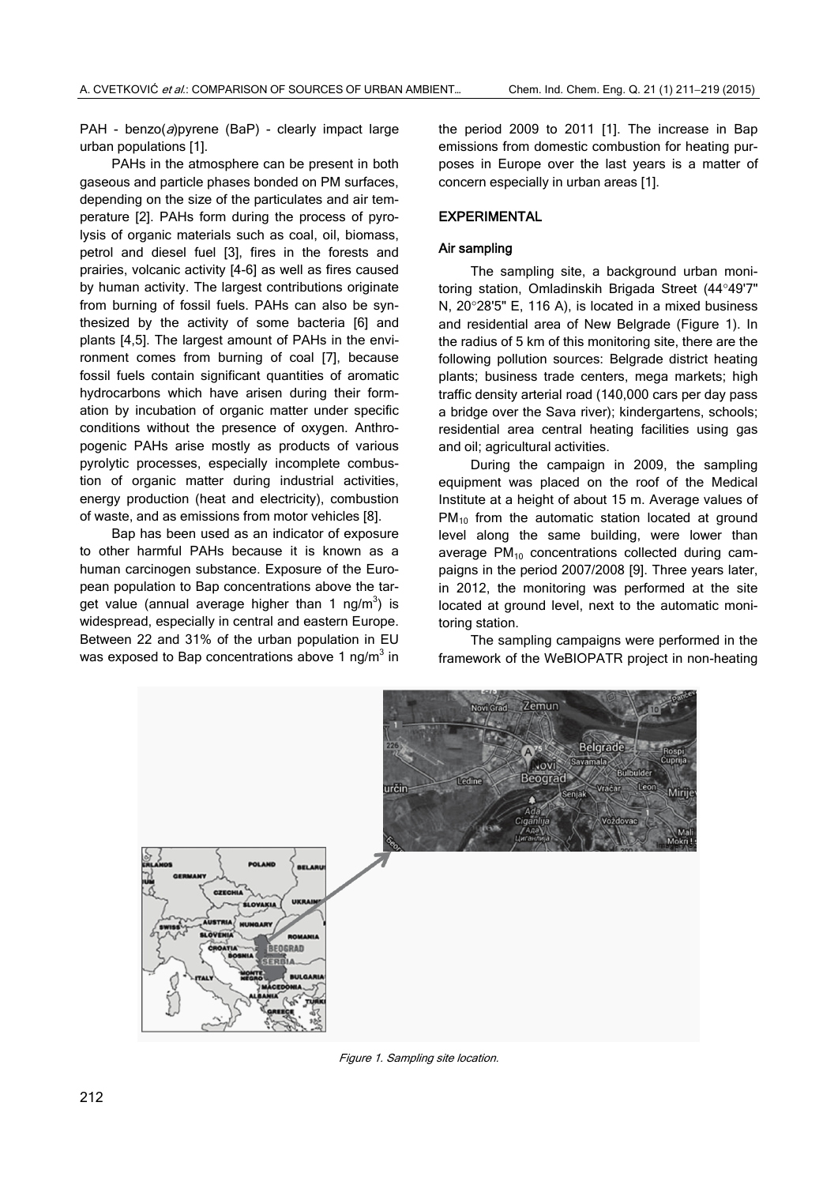PAH - benzo( $a$ ) pyrene (BaP) - clearly impact large urban populations [1].

PAHs in the atmosphere can be present in both gaseous and particle phases bonded on PM surfaces, depending on the size of the particulates and air temperature [2]. PAHs form during the process of pyrolysis of organic materials such as coal, oil, biomass, petrol and diesel fuel [3], fires in the forests and prairies, volcanic activity [4-6] as well as fires caused by human activity. The largest contributions originate from burning of fossil fuels. PAHs can also be synthesized by the activity of some bacteria [6] and plants [4,5]. The largest amount of PAHs in the environment comes from burning of coal [7], because fossil fuels contain significant quantities of aromatic hydrocarbons which have arisen during their formation by incubation of organic matter under specific conditions without the presence of oxygen. Anthropogenic PAHs arise mostly as products of various pyrolytic processes, especially incomplete combustion of organic matter during industrial activities, energy production (heat and electricity), combustion of waste, and as emissions from motor vehicles [8].

Bap has been used as an indicator of exposure to other harmful PAHs because it is known as a human carcinogen substance. Exposure of the European population to Bap concentrations above the target value (annual average higher than 1 ng/m<sup>3</sup>) is widespread, especially in central and eastern Europe. Between 22 and 31% of the urban population in EU was exposed to Bap concentrations above 1 ng/m $3$  in the period 2009 to 2011 [1]. The increase in Bap emissions from domestic combustion for heating purposes in Europe over the last years is a matter of concern especially in urban areas [1].

## EXPERIMENTAL

## Air sampling

The sampling site, a background urban monitoring station, Omladinskih Brigada Street (44°49'7" N, 20°28'5" E, 116 A), is located in a mixed business and residential area of New Belgrade (Figure 1). In the radius of 5 km of this monitoring site, there are the following pollution sources: Belgrade district heating plants; business trade centers, mega markets; high traffic density arterial road (140,000 cars per day pass a bridge over the Sava river); kindergartens, schools; residential area central heating facilities using gas and oil; agricultural activities.

During the campaign in 2009, the sampling equipment was placed on the roof of the Medical Institute at a height of about 15 m. Average values of  $PM<sub>10</sub>$  from the automatic station located at ground level along the same building, were lower than average  $PM_{10}$  concentrations collected during campaigns in the period 2007/2008 [9]. Three years later, in 2012, the monitoring was performed at the site located at ground level, next to the automatic monitoring station.

The sampling campaigns were performed in the framework of the WeBIOPATR project in non-heating



Figure 1. Sampling site location.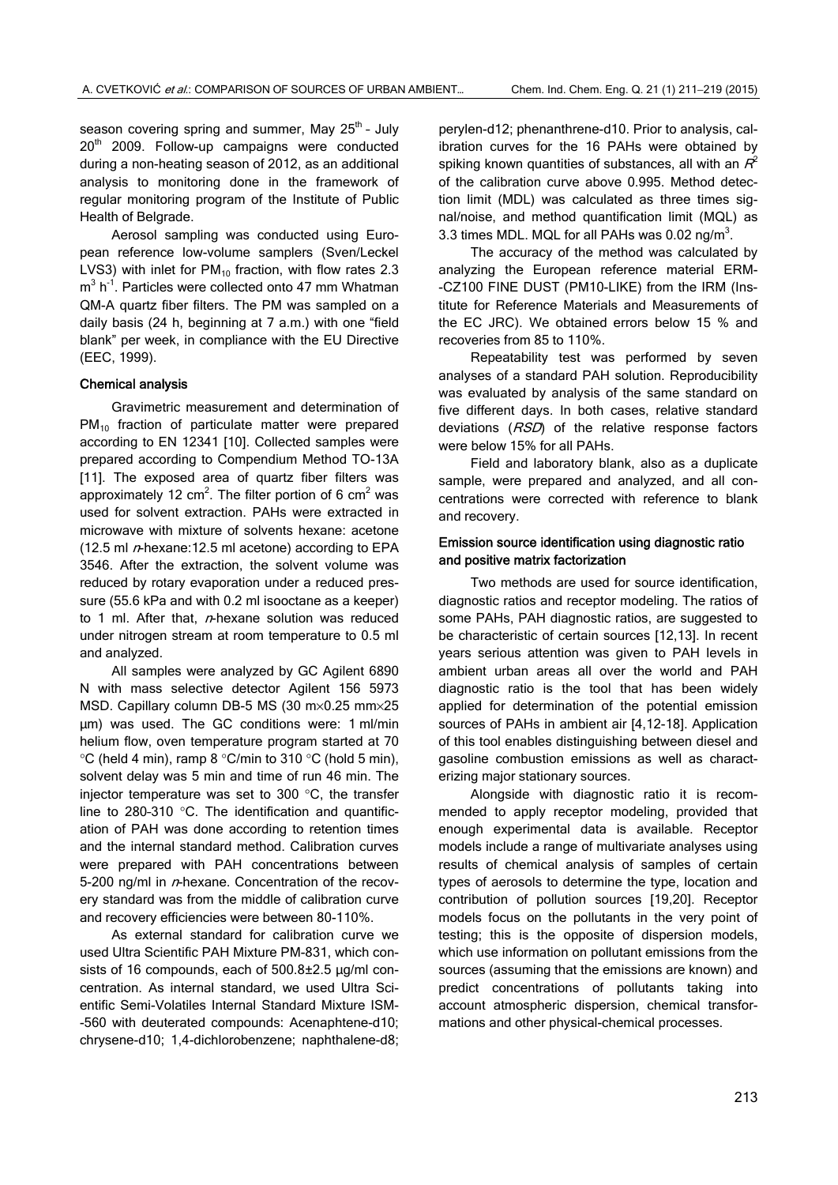season covering spring and summer, May 25<sup>th</sup> - July 20<sup>th</sup> 2009. Follow-up campaigns were conducted during a non-heating season of 2012, as an additional analysis to monitoring done in the framework of regular monitoring program of the Institute of Public Health of Belgrade.

Aerosol sampling was conducted using European reference low-volume samplers (Sven/Leckel LVS3) with inlet for  $PM_{10}$  fraction, with flow rates 2.3  $m<sup>3</sup>$  h<sup>-1</sup>. Particles were collected onto 47 mm Whatman QM-A quartz fiber filters. The PM was sampled on a daily basis (24 h, beginning at 7 a.m.) with one "field blank" per week, in compliance with the EU Directive (EEC, 1999).

## Chemical analysis

Gravimetric measurement and determination of PM<sub>10</sub> fraction of particulate matter were prepared according to EN 12341 [10]. Collected samples were prepared according to Compendium Method TO-13A [11]. The exposed area of quartz fiber filters was approximately 12 cm<sup>2</sup>. The filter portion of 6 cm<sup>2</sup> was used for solvent extraction. PAHs were extracted in microwave with mixture of solvents hexane: acetone (12.5 ml  $n$ -hexane: 12.5 ml acetone) according to EPA 3546. After the extraction, the solvent volume was reduced by rotary evaporation under a reduced pressure (55.6 kPa and with 0.2 ml isooctane as a keeper) to 1 ml. After that,  $n$ -hexane solution was reduced under nitrogen stream at room temperature to 0.5 ml and analyzed.

All samples were analyzed by GC Agilent 6890 N with mass selective detector Agilent 156 5973 MSD. Capillary column DB-5 MS (30 m×0.25 mm×25 μm) was used. The GC conditions were: 1 ml/min helium flow, oven temperature program started at 70  $\degree$ C (held 4 min), ramp 8  $\degree$ C/min to 310  $\degree$ C (hold 5 min), solvent delay was 5 min and time of run 46 min. The injector temperature was set to 300 °C, the transfer line to 280–310 °C. The identification and quantification of PAH was done according to retention times and the internal standard method. Calibration curves were prepared with PAH concentrations between 5-200 ng/ml in  $n$ -hexane. Concentration of the recovery standard was from the middle of calibration curve and recovery efficiencies were between 80-110%.

As external standard for calibration curve we used Ultra Scientific PAH Mixture PM-831, which consists of 16 compounds, each of 500.8±2.5 μg/ml concentration. As internal standard, we used Ultra Scientific Semi-Volatiles Internal Standard Mixture ISM- -560 with deuterated compounds: Acenaphtene-d10; chrysene-d10; 1,4-dichlorobenzene; naphthalene-d8; perylen-d12; phenanthrene-d10. Prior to analysis, calibration curves for the 16 PAHs were obtained by spiking known quantities of substances, all with an  $R^2$ of the calibration curve above 0.995. Method detection limit (MDL) was calculated as three times signal/noise, and method quantification limit (MQL) as 3.3 times MDL. MQL for all PAHs was  $0.02$  ng/m<sup>3</sup>.

The accuracy of the method was calculated by analyzing the European reference material ERM- -CZ100 FINE DUST (PM10-LIKE) from the IRM (Institute for Reference Materials and Measurements of the EC JRC). We obtained errors below 15 % and recoveries from 85 to 110%.

Repeatability test was performed by seven analyses of a standard PAH solution. Reproducibility was evaluated by analysis of the same standard on five different days. In both cases, relative standard deviations (RSD) of the relative response factors were below 15% for all PAHs.

Field and laboratory blank, also as a duplicate sample, were prepared and analyzed, and all concentrations were corrected with reference to blank and recovery.

## Emission source identification using diagnostic ratio and positive matrix factorization

Two methods are used for source identification, diagnostic ratios and receptor modeling. The ratios of some PAHs, PAH diagnostic ratios, are suggested to be characteristic of certain sources [12,13]. In recent years serious attention was given to PAH levels in ambient urban areas all over the world and PAH diagnostic ratio is the tool that has been widely applied for determination of the potential emission sources of PAHs in ambient air [4,12-18]. Application of this tool enables distinguishing between diesel and gasoline combustion emissions as well as characterizing major stationary sources.

Alongside with diagnostic ratio it is recommended to apply receptor modeling, provided that enough experimental data is available. Receptor models include a range of multivariate analyses using results of chemical analysis of samples of certain types of aerosols to determine the type, location and contribution of pollution sources [19,20]. Receptor models focus on the pollutants in the very point of testing; this is the opposite of dispersion models, which use information on pollutant emissions from the sources (assuming that the emissions are known) and predict concentrations of pollutants taking into account atmospheric dispersion, chemical transformations and other physical-chemical processes.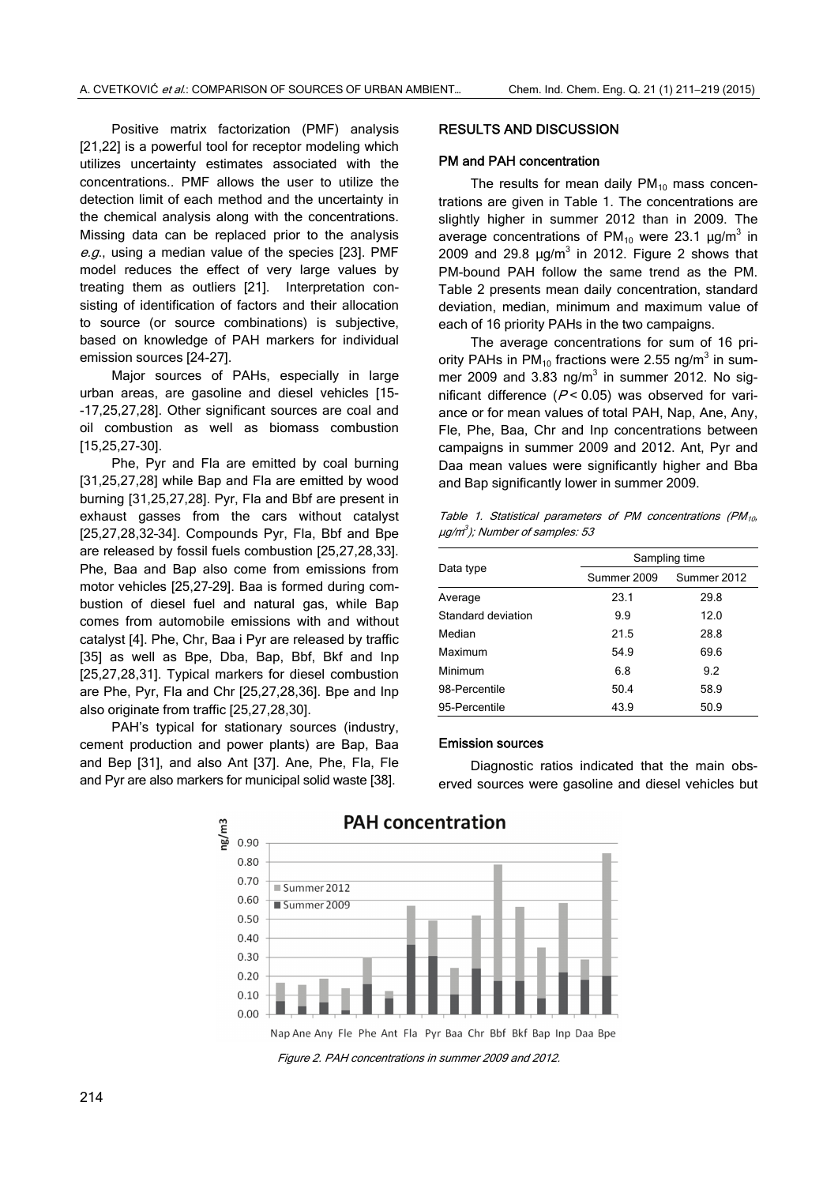Positive matrix factorization (PMF) analysis [21,22] is a powerful tool for receptor modeling which utilizes uncertainty estimates associated with the concentrations.. PMF allows the user to utilize the detection limit of each method and the uncertainty in the chemical analysis along with the concentrations. Missing data can be replaced prior to the analysis e.g., using a median value of the species [23]. PMF model reduces the effect of very large values by treating them as outliers [21]. Interpretation consisting of identification of factors and their allocation to source (or source combinations) is subjective, based on knowledge of PAH markers for individual emission sources [24-27].

Major sources of PAHs, especially in large urban areas, are gasoline and diesel vehicles [15- -17,25,27,28]. Other significant sources are coal and oil combustion as well as biomass combustion [15,25,27-30].

Phe, Pyr and Fla are emitted by coal burning [31,25,27,28] while Bap and Fla are emitted by wood burning [31,25,27,28]. Pyr, Fla and Bbf are present in exhaust gasses from the cars without catalyst [25,27,28,32–34]. Compounds Pyr, Fla, Bbf and Bpe are released by fossil fuels combustion [25,27,28,33]. Phe, Baa and Bap also come from emissions from motor vehicles [25,27–29]. Baa is formed during combustion of diesel fuel and natural gas, while Bap comes from automobile emissions with and without catalyst [4]. Phe, Chr, Baa i Pyr are released by traffic [35] as well as Bpe, Dba, Bap, Bbf, Bkf and Inp [25,27,28,31]. Typical markers for diesel combustion are Phe, Pyr, Fla and Chr [25,27,28,36]. Bpe and Inp also originate from traffic [25,27,28,30].

PAH's typical for stationary sources (industry, cement production and power plants) are Bap, Baa and Bep [31], and also Ant [37]. Ane, Phe, Fla, Fle and Pyr are also markers for municipal solid waste [38].

#### RESULTS AND DISCUSSION

#### PM and PAH concentration

The results for mean daily  $PM_{10}$  mass concentrations are given in Table 1. The concentrations are slightly higher in summer 2012 than in 2009. The average concentrations of  $PM_{10}$  were 23.1  $\mu$ g/m<sup>3</sup> in 2009 and 29.8  $\mu$ g/m<sup>3</sup> in 2012. Figure 2 shows that PM-bound PAH follow the same trend as the PM. Table 2 presents mean daily concentration, standard deviation, median, minimum and maximum value of each of 16 priority PAHs in the two campaigns.

The average concentrations for sum of 16 priority PAHs in PM<sub>10</sub> fractions were 2.55 ng/m<sup>3</sup> in summer 2009 and 3.83 ng/ $m<sup>3</sup>$  in summer 2012. No significant difference ( $P$  < 0.05) was observed for variance or for mean values of total PAH, Nap, Ane, Any, Fle, Phe, Baa, Chr and Inp concentrations between campaigns in summer 2009 and 2012. Ant, Pyr and Daa mean values were significantly higher and Bba and Bap significantly lower in summer 2009.

Table 1. Statistical parameters of PM concentrations (PM $_{10}$ ,  $\mu g/m^3$ ); Number of samples: 53

|                    | Sampling time |             |  |  |
|--------------------|---------------|-------------|--|--|
| Data type          | Summer 2009   | Summer 2012 |  |  |
| Average            | 23.1          | 29.8        |  |  |
| Standard deviation | 9.9           | 12.0        |  |  |
| Median             | 21.5          | 28.8        |  |  |
| Maximum            | 54.9          | 69.6        |  |  |
| Minimum            | 6.8           | 9.2         |  |  |
| 98-Percentile      | 50.4          | 58.9        |  |  |
| 95-Percentile      | 43.9          | 50.9        |  |  |

#### Emission sources

Diagnostic ratios indicated that the main observed sources were gasoline and diesel vehicles but



Figure 2. PAH concentrations in summer 2009 and 2012.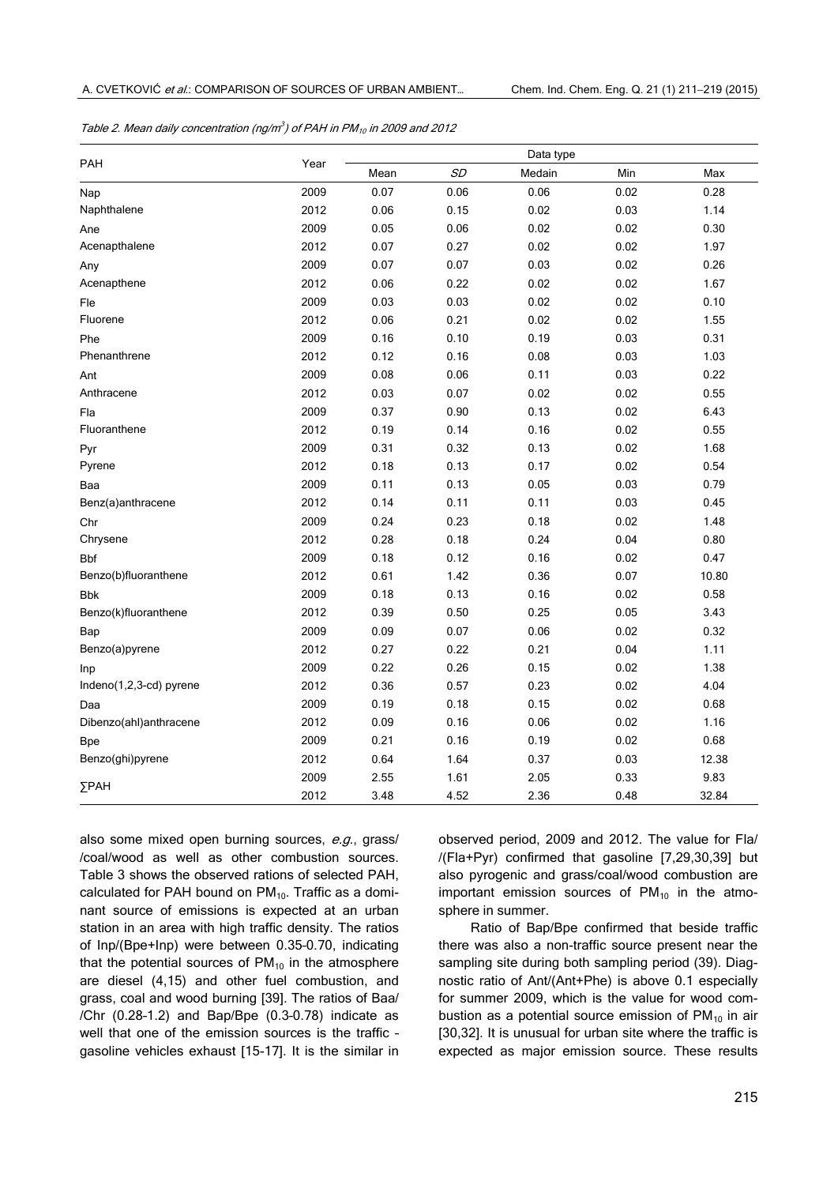| PAH                     | Year | Data type |           |        |      |       |
|-------------------------|------|-----------|-----------|--------|------|-------|
|                         |      | Mean      | <b>SD</b> | Medain | Min  | Max   |
| Nap                     | 2009 | 0.07      | 0.06      | 0.06   | 0.02 | 0.28  |
| Naphthalene             | 2012 | 0.06      | 0.15      | 0.02   | 0.03 | 1.14  |
| Ane                     | 2009 | 0.05      | 0.06      | 0.02   | 0.02 | 0.30  |
| Acenapthalene           | 2012 | 0.07      | 0.27      | 0.02   | 0.02 | 1.97  |
| Any                     | 2009 | 0.07      | 0.07      | 0.03   | 0.02 | 0.26  |
| Acenapthene             | 2012 | 0.06      | 0.22      | 0.02   | 0.02 | 1.67  |
| Fle                     | 2009 | 0.03      | 0.03      | 0.02   | 0.02 | 0.10  |
| Fluorene                | 2012 | 0.06      | 0.21      | 0.02   | 0.02 | 1.55  |
| Phe                     | 2009 | 0.16      | 0.10      | 0.19   | 0.03 | 0.31  |
| Phenanthrene            | 2012 | 0.12      | 0.16      | 0.08   | 0.03 | 1.03  |
| Ant                     | 2009 | 0.08      | 0.06      | 0.11   | 0.03 | 0.22  |
| Anthracene              | 2012 | 0.03      | 0.07      | 0.02   | 0.02 | 0.55  |
| Fla                     | 2009 | 0.37      | 0.90      | 0.13   | 0.02 | 6.43  |
| Fluoranthene            | 2012 | 0.19      | 0.14      | 0.16   | 0.02 | 0.55  |
| Pyr                     | 2009 | 0.31      | 0.32      | 0.13   | 0.02 | 1.68  |
| Pyrene                  | 2012 | 0.18      | 0.13      | 0.17   | 0.02 | 0.54  |
| Baa                     | 2009 | 0.11      | 0.13      | 0.05   | 0.03 | 0.79  |
| Benz(a)anthracene       | 2012 | 0.14      | 0.11      | 0.11   | 0.03 | 0.45  |
| Chr                     | 2009 | 0.24      | 0.23      | 0.18   | 0.02 | 1.48  |
| Chrysene                | 2012 | 0.28      | 0.18      | 0.24   | 0.04 | 0.80  |
| <b>Bbf</b>              | 2009 | 0.18      | 0.12      | 0.16   | 0.02 | 0.47  |
| Benzo(b)fluoranthene    | 2012 | 0.61      | 1.42      | 0.36   | 0.07 | 10.80 |
| <b>Bbk</b>              | 2009 | 0.18      | 0.13      | 0.16   | 0.02 | 0.58  |
| Benzo(k)fluoranthene    | 2012 | 0.39      | 0.50      | 0.25   | 0.05 | 3.43  |
| Bap                     | 2009 | 0.09      | 0.07      | 0.06   | 0.02 | 0.32  |
| Benzo(a)pyrene          | 2012 | 0.27      | 0.22      | 0.21   | 0.04 | 1.11  |
| Inp                     | 2009 | 0.22      | 0.26      | 0.15   | 0.02 | 1.38  |
| Indeno(1,2,3-cd) pyrene | 2012 | 0.36      | 0.57      | 0.23   | 0.02 | 4.04  |
| Daa                     | 2009 | 0.19      | 0.18      | 0.15   | 0.02 | 0.68  |
| Dibenzo(ahl)anthracene  | 2012 | 0.09      | 0.16      | 0.06   | 0.02 | 1.16  |
| <b>Bpe</b>              | 2009 | 0.21      | 0.16      | 0.19   | 0.02 | 0.68  |
| Benzo(ghi)pyrene        | 2012 | 0.64      | 1.64      | 0.37   | 0.03 | 12.38 |
|                         | 2009 | 2.55      | 1.61      | 2.05   | 0.33 | 9.83  |
| $\Sigma$ PAH            | 2012 | 3.48      | 4.52      | 2.36   | 0.48 | 32.84 |

also some mixed open burning sources, e.g., grass/ /coal/wood as well as other combustion sources. Table 3 shows the observed rations of selected PAH, calculated for PAH bound on  $PM<sub>10</sub>$ . Traffic as a dominant source of emissions is expected at an urban station in an area with high traffic density. The ratios of Inp/(Bpe+Inp) were between 0.35–0.70, indicating that the potential sources of  $PM_{10}$  in the atmosphere are diesel (4,15) and other fuel combustion, and grass, coal and wood burning [39]. The ratios of Baa/ /Chr (0.28–1.2) and Bap/Bpe (0.3–0.78) indicate as well that one of the emission sources is the traffic – gasoline vehicles exhaust [15-17]. It is the similar in observed period, 2009 and 2012. The value for Fla/ /(Fla+Pyr) confirmed that gasoline [7,29,30,39] but also pyrogenic and grass/coal/wood combustion are important emission sources of  $PM_{10}$  in the atmosphere in summer.

Ratio of Bap/Bpe confirmed that beside traffic there was also a non-traffic source present near the sampling site during both sampling period (39). Diagnostic ratio of Ant/(Ant+Phe) is above 0.1 especially for summer 2009, which is the value for wood combustion as a potential source emission of  $PM_{10}$  in air [30,32]. It is unusual for urban site where the traffic is expected as major emission source. These results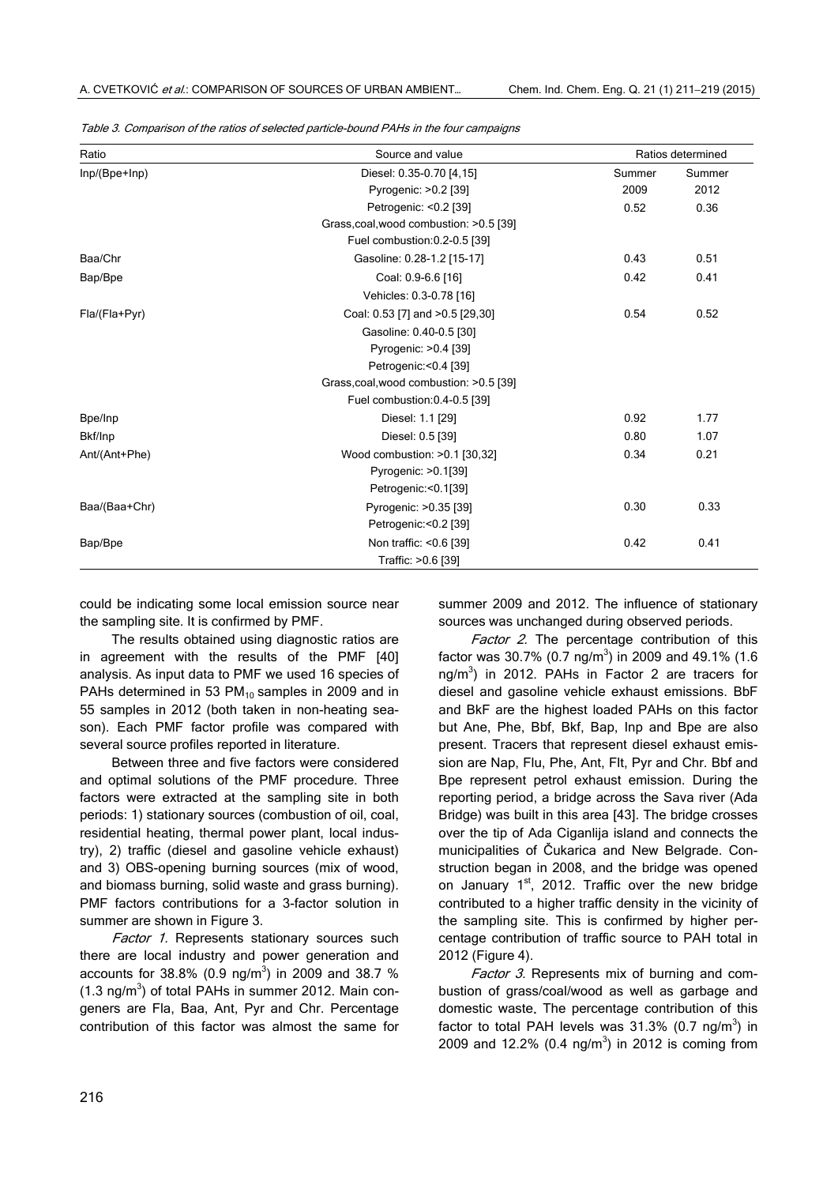| Ratio         | Source and value                        |        | Ratios determined |  |
|---------------|-----------------------------------------|--------|-------------------|--|
| Inp/(Bpe+Inp) | Diesel: 0.35-0.70 [4,15]                | Summer | Summer            |  |
|               | Pyrogenic: >0.2 [39]                    | 2009   | 2012              |  |
|               | Petrogenic: <0.2 [39]                   | 0.52   | 0.36              |  |
|               | Grass.coal, wood combustion: >0.5 [39]  |        |                   |  |
|               | Fuel combustion: 0.2-0.5 [39]           |        |                   |  |
| Baa/Chr       | Gasoline: 0.28-1.2 [15-17]              | 0.43   | 0.51              |  |
| Bap/Bpe       | Coal: 0.9-6.6 [16]                      | 0.42   | 0.41              |  |
|               | Vehicles: 0.3-0.78 [16]                 |        |                   |  |
| Fla/(Fla+Pyr) | Coal: 0.53 [7] and >0.5 [29,30]         | 0.54   | 0.52              |  |
|               | Gasoline: 0.40-0.5 [30]                 |        |                   |  |
|               | Pyrogenic: >0.4 [39]                    |        |                   |  |
|               | Petrogenic:<0.4 [39]                    |        |                   |  |
|               | Grass, coal, wood combustion: >0.5 [39] |        |                   |  |
|               | Fuel combustion: 0.4-0.5 [39]           |        |                   |  |
| Bpe/Inp       | Diesel: 1.1 [29]                        | 0.92   | 1.77              |  |
| Bkf/Inp       | Diesel: 0.5 [39]                        | 0.80   | 1.07              |  |
| Ant/(Ant+Phe) | Wood combustion: >0.1 [30,32]           | 0.34   | 0.21              |  |
|               | Pyrogenic: > 0.1[39]                    |        |                   |  |
|               | Petrogenic:<0.1[39]                     |        |                   |  |
| Baa/(Baa+Chr) | Pyrogenic: >0.35 [39]                   | 0.30   | 0.33              |  |
|               | Petrogenic:<0.2 [39]                    |        |                   |  |
| Bap/Bpe       | Non traffic: <0.6 [39]                  | 0.42   | 0.41              |  |
|               | Traffic: >0.6 [39]                      |        |                   |  |

Table 3. Comparison of the ratios of selected particle-bound PAHs in the four campaigns

could be indicating some local emission source near the sampling site. It is confirmed by PMF.

The results obtained using diagnostic ratios are in agreement with the results of the PMF [40] analysis. As input data to PMF we used 16 species of PAHs determined in 53  $PM_{10}$  samples in 2009 and in 55 samples in 2012 (both taken in non-heating season). Each PMF factor profile was compared with several source profiles reported in literature.

Between three and five factors were considered and optimal solutions of the PMF procedure. Three factors were extracted at the sampling site in both periods: 1) stationary sources (combustion of oil, coal, residential heating, thermal power plant, local industry), 2) traffic (diesel and gasoline vehicle exhaust) and 3) OBS-opening burning sources (mix of wood, and biomass burning, solid waste and grass burning). PMF factors contributions for a 3-factor solution in summer are shown in Figure 3.

Factor 1. Represents stationary sources such there are local industry and power generation and accounts for 38.8% (0.9 ng/m<sup>3</sup>) in 2009 and 38.7 %  $(1.3 \text{ ng/m}^3)$  of total PAHs in summer 2012. Main congeners are Fla, Baa, Ant, Pyr and Chr. Percentage contribution of this factor was almost the same for

summer 2009 and 2012. The influence of stationary sources was unchanged during observed periods.

Factor 2. The percentage contribution of this factor was 30.7% (0.7 ng/m<sup>3</sup>) in 2009 and 49.1% (1.6 ng/m<sup>3</sup>) in 2012. PAHs in Factor 2 are tracers for diesel and gasoline vehicle exhaust emissions. BbF and BkF are the highest loaded PAHs on this factor but Ane, Phe, Bbf, Bkf, Bap, Inp and Bpe are also present. Tracers that represent diesel exhaust emission are Nap, Flu, Phe, Ant, Flt, Pyr and Chr. Bbf and Bpe represent petrol exhaust emission. During the reporting period, a bridge across the Sava river (Ada Bridge) was built in this area [43]. The bridge crosses over the tip of Ada Ciganlija island and connects the municipalities of Čukarica and New Belgrade. Construction began in 2008, and the bridge was opened on January 1<sup>st</sup>, 2012. Traffic over the new bridge contributed to a higher traffic density in the vicinity of the sampling site. This is confirmed by higher percentage contribution of traffic source to PAH total in 2012 (Figure 4).

Factor 3. Represents mix of burning and combustion of grass/coal/wood as well as garbage and domestic waste. The percentage contribution of this factor to total PAH levels was  $31.3\%$  (0.7 ng/m<sup>3</sup>) in 2009 and 12.2% (0.4 ng/m<sup>3</sup>) in 2012 is coming from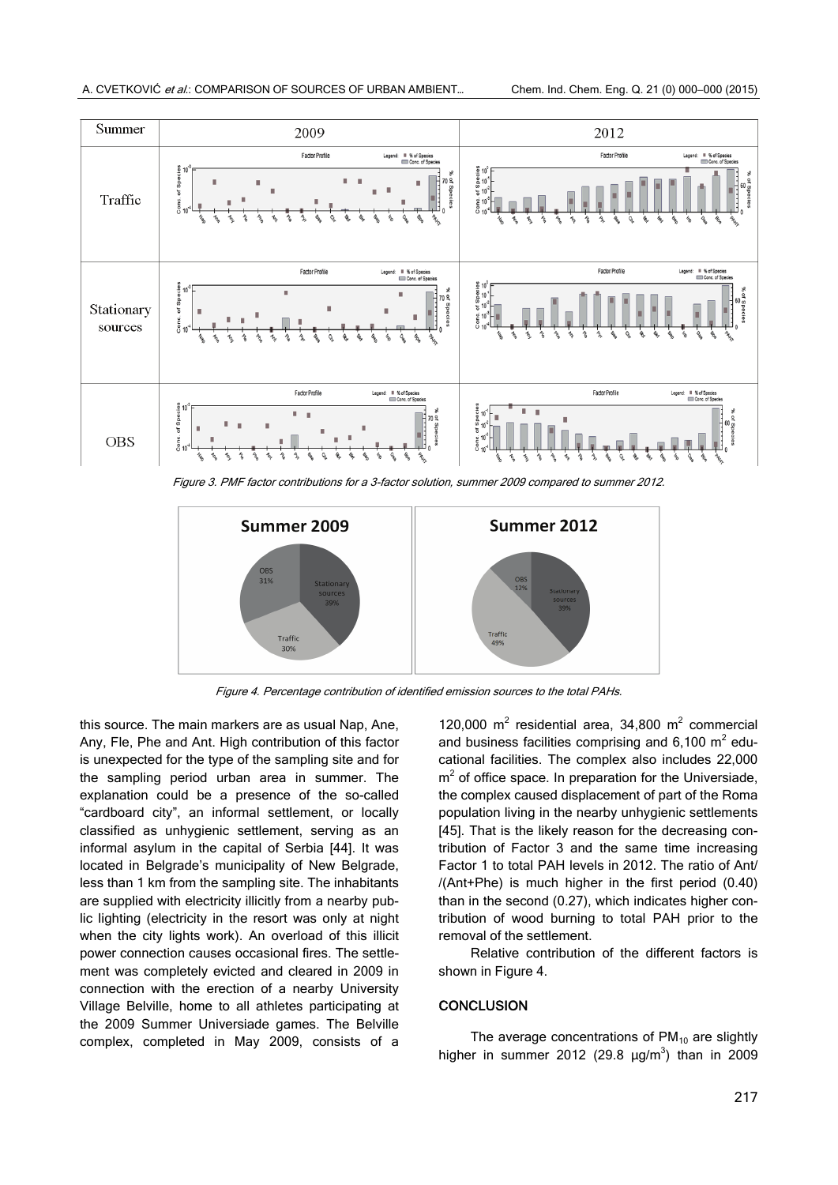

Figure 3. PMF factor contributions for a 3-factor solution, summer 2009 compared to summer 2012.



Figure 4. Percentage contribution of identified emission sources to the total PAHs.

this source. The main markers are as usual Nap, Ane, Any, Fle, Phe and Ant. High contribution of this factor is unexpected for the type of the sampling site and for the sampling period urban area in summer. The explanation could be a presence of the so-called "cardboard city", an informal settlement, or locally classified as unhygienic settlement, serving as an informal asylum in the capital of Serbia [44]. It was located in Belgrade's municipality of New Belgrade, less than 1 km from the sampling site. The inhabitants are supplied with electricity illicitly from a nearby public lighting (electricity in the resort was only at night when the city lights work). An overload of this illicit power connection causes occasional fires. The settlement was completely evicted and cleared in 2009 in connection with the erection of a nearby University Village Belville, home to all athletes participating at the 2009 Summer Universiade games. The Belville complex, completed in May 2009, consists of a

120,000  $m^2$  residential area, 34,800  $m^2$  commercial and business facilities comprising and  $6,100 \text{ m}^2$  educational facilities. The complex also includes 22,000  $m<sup>2</sup>$  of office space. In preparation for the Universiade, the complex caused displacement of part of the Roma population living in the nearby unhygienic settlements [45]. That is the likely reason for the decreasing contribution of Factor 3 and the same time increasing Factor 1 to total PAH levels in 2012. The ratio of Ant/ /(Ant+Phe) is much higher in the first period (0.40) than in the second (0.27), which indicates higher contribution of wood burning to total PAH prior to the removal of the settlement.

Relative contribution of the different factors is shown in Figure 4.

# **CONCLUSION**

The average concentrations of  $PM_{10}$  are slightly higher in summer 2012 (29.8  $\mu$ g/m<sup>3</sup>) than in 2009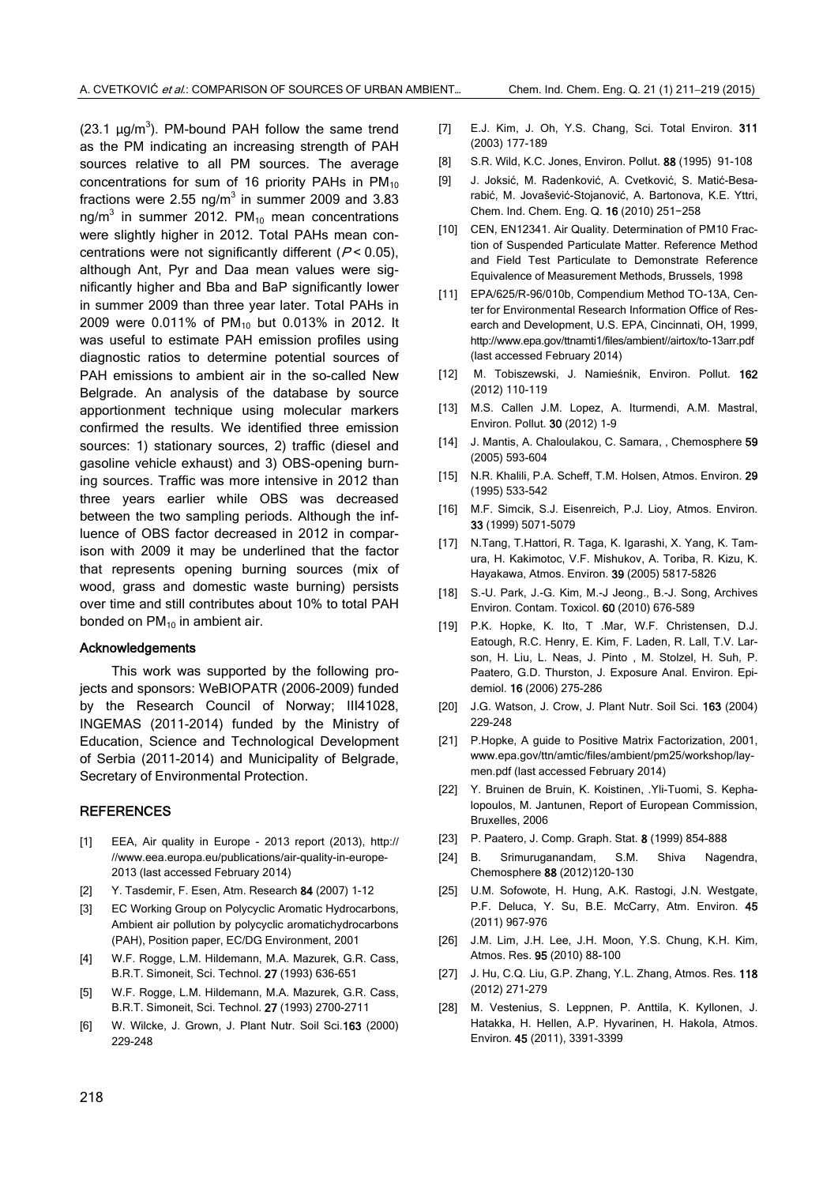(23.1  $\mu$ g/m<sup>3</sup>). PM-bound PAH follow the same trend as the PM indicating an increasing strength of PAH sources relative to all PM sources. The average concentrations for sum of 16 priority PAHs in  $PM_{10}$ fractions were 2.55 ng/m<sup>3</sup> in summer 2009 and 3.83 ng/m<sup>3</sup> in summer 2012. PM<sub>10</sub> mean concentrations were slightly higher in 2012. Total PAHs mean concentrations were not significantly different ( $P < 0.05$ ), although Ant, Pyr and Daa mean values were significantly higher and Bba and BaP significantly lower in summer 2009 than three year later. Total PAHs in 2009 were 0.011% of PM<sub>10</sub> but 0.013% in 2012. It was useful to estimate PAH emission profiles using diagnostic ratios to determine potential sources of PAH emissions to ambient air in the so-called New Belgrade. An analysis of the database by source apportionment technique using molecular markers confirmed the results. We identified three emission sources: 1) stationary sources, 2) traffic (diesel and gasoline vehicle exhaust) and 3) OBS-opening burning sources. Traffic was more intensive in 2012 than three years earlier while OBS was decreased between the two sampling periods. Although the influence of OBS factor decreased in 2012 in comparison with 2009 it may be underlined that the factor that represents opening burning sources (mix of wood, grass and domestic waste burning) persists over time and still contributes about 10% to total PAH bonded on  $PM_{10}$  in ambient air.

#### Acknowledgements

This work was supported by the following projects and sponsors: WeBIOPATR (2006-2009) funded by the Research Council of Norway; III41028, INGEMAS (2011-2014) funded by the Ministry of Education, Science and Technological Development of Serbia (2011-2014) and Municipality of Belgrade, Secretary of Environmental Protection.

### **REFERENCES**

- [1] EEA, Air quality in Europe 2013 report (2013), http:// //www.eea.europa.eu/publications/air-quality-in-europe-2013 (last accessed February 2014)
- [2] Y. Tasdemir, F. Esen, Atm. Research 84 (2007) 1-12
- [3] EC Working Group on Polycyclic Aromatic Hydrocarbons, Ambient air pollution by polycyclic aromatichydrocarbons (PAH), Position paper, EC/DG Environment, 2001
- [4] W.F. Rogge, L.M. Hildemann, M.A. Mazurek, G.R. Cass, B.R.T. Simoneit, Sci. Technol. 27 (1993) 636-651
- [5] W.F. Rogge, L.M. Hildemann, M.A. Mazurek, G.R. Cass, B.R.T. Simoneit, Sci. Technol. 27 (1993) 2700-2711
- [6] W. Wilcke, J. Grown, J. Plant Nutr. Soil Sci.163 (2000) 229-248
- [7] E.J. Kim, J. Oh, Y.S. Chang, Sci. Total Environ. 311 (2003) 177-189
- [8] S.R. Wild, K.C. Jones, Environ. Pollut. 88 (1995) 91-108
- [9] J. Joksić, M. Radenković, A. Cvetković, S. Matić-Besarabić, M. Jovašević-Stojanović, A. Bartonova, K.E. Yttri, Chem. Ind. Chem. Eng. Q. 16 (2010) 251−258
- [10] CEN, EN12341. Air Quality. Determination of PM10 Fraction of Suspended Particulate Matter. Reference Method and Field Test Particulate to Demonstrate Reference Equivalence of Measurement Methods, Brussels, 1998
- [11] EPA/625/R-96/010b, Compendium Method TO-13A, Center for Environmental Research Information Office of Research and Development, U.S. EPA, Cincinnati, OH, 1999, http://www.epa.gov/ttnamti1/files/ambient//airtox/to-13arr.pdf (last accessed February 2014)
- [12] M. Tobiszewski, J. Namieśnik, Environ. Pollut. 162 (2012) 110-119
- [13] M.S. Callen J.M. Lopez, A. Iturmendi, A.M. Mastral, Environ. Pollut. 30 (2012) 1-9
- [14] J. Mantis, A. Chaloulakou, C. Samara, , Chemosphere 59 (2005) 593-604
- [15] N.R. Khalili, P.A. Scheff, T.M. Holsen, Atmos. Environ. 29 (1995) 533-542
- [16] M.F. Simcik, S.J. Eisenreich, P.J. Lioy, Atmos. Environ. 33 (1999) 5071-5079
- [17] N.Tang, T.Hattori, R. Taga, K. Igarashi, X. Yang, K. Tamura, H. Kakimotoc, V.F. Mishukov, A. Toriba, R. Kizu, K. Hayakawa, Atmos. Environ. 39 (2005) 5817-5826
- [18] S.-U. Park, J.-G. Kim, M.-J Jeong., B.-J. Song, Archives Environ. Contam. Toxicol. 60 (2010) 676-589
- [19] P.K. Hopke, K. Ito, T .Mar, W.F. Christensen, D.J. Eatough, R.C. Henry, E. Kim, F. Laden, R. Lall, T.V. Larson, H. Liu, L. Neas, J. Pinto , M. Stolzel, H. Suh, P. Paatero, G.D. Thurston, J. Exposure Anal. Environ. Epidemiol. 16 (2006) 275-286
- [20] J.G. Watson, J. Crow, J. Plant Nutr. Soil Sci. 163 (2004) 229-248
- [21] P.Hopke, A guide to Positive Matrix Factorization, 2001, www.epa.gov/ttn/amtic/files/ambient/pm25/workshop/laymen.pdf (last accessed February 2014)
- [22] Y. Bruinen de Bruin, K. Koistinen, .Yli-Tuomi, S. Kephalopoulos, M. Jantunen, Report of European Commission, Bruxelles, 2006
- [23] P. Paatero, J. Comp. Graph. Stat. 8 (1999) 854-888
- [24] B. Srimuruganandam, S.M. Shiva Nagendra, Chemosphere 88 (2012)120-130
- [25] U.M. Sofowote, H. Hung, A.K. Rastogi, J.N. Westgate, P.F. Deluca, Y. Su, B.E. McCarry, Atm. Environ. 45 (2011) 967-976
- [26] J.M. Lim, J.H. Lee, J.H. Moon, Y.S. Chung, K.H. Kim, Atmos. Res. 95 (2010) 88-100
- [27] J. Hu, C.Q. Liu, G.P. Zhang, Y.L. Zhang, Atmos. Res. 118 (2012) 271-279
- [28] M. Vestenius, S. Leppnen, P. Anttila, K. Kyllonen, J. Hatakka, H. Hellen, A.P. Hyvarinen, H. Hakola, Atmos. Environ. 45 (2011), 3391-3399